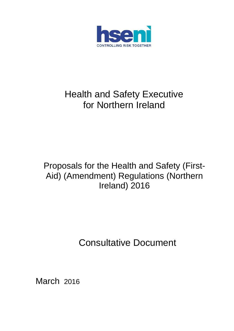

# Health and Safety Executive for Northern Ireland

# Proposals for the Health and Safety (First-Aid) (Amendment) Regulations (Northern Ireland) 2016

Consultative Document

March 2016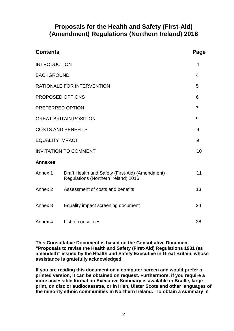## **Proposals for the Health and Safety (First-Aid) (Amendment) Regulations (Northern Ireland) 2016**

| <b>Contents</b>                    |                                                                                        | Page           |
|------------------------------------|----------------------------------------------------------------------------------------|----------------|
| <b>INTRODUCTION</b>                |                                                                                        | 4              |
| <b>BACKGROUND</b>                  |                                                                                        | 4              |
|                                    | <b>RATIONALE FOR INTERVENTION</b>                                                      | 5              |
|                                    | PROPOSED OPTIONS                                                                       | 6              |
|                                    | PREFERRED OPTION                                                                       | $\overline{7}$ |
|                                    | <b>GREAT BRITAIN POSITION</b>                                                          | 9              |
| <b>COSTS AND BENEFITS</b>          |                                                                                        |                |
| <b>EQUALITY IMPACT</b>             |                                                                                        |                |
| <b>INVITATION TO COMMENT</b><br>10 |                                                                                        |                |
| <b>Annexes</b>                     |                                                                                        |                |
| Annex 1                            | Draft Health and Safety (First-Aid) (Amendment)<br>Regulations (Northern Ireland) 2016 | 11             |
| Annex 2                            | Assessment of costs and benefits                                                       | 13             |
| Annex <sub>3</sub>                 | Equality impact screening document                                                     | 24             |
| Annex 4                            | List of consultees                                                                     | 38             |

**This Consultative Document is based on the Consultative Document "Proposals to revise the Health and Safety (First-Aid) Regulations 1981 (as amended)" issued by the Health and Safety Executive in Great Britain, whose assistance is gratefully acknowledged.**

**If you are reading this document on a computer screen and would prefer a printed version, it can be obtained on request. Furthermore, if you require a more accessible format an Executive Summary is available in Braille, large print, on disc or audiocassette, or in Irish, Ulster Scots and other languages of the minority ethnic communities in Northern Ireland. To obtain a summary in**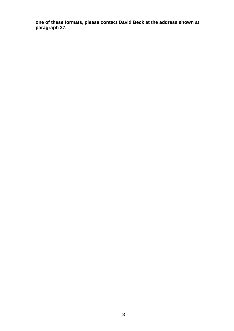**one of these formats, please contact David Beck at the address shown at paragraph 37.**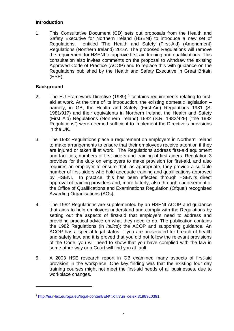#### **Introduction**

1. This Consultative Document (CD) sets out proposals from the Health and Safety Executive for Northern Ireland (HSENI) to introduce a new set of Regulations, entitled 'The Health and Safety (First-Aid) (Amendment) Regulations (Northern Ireland) 2016'. The proposed Regulations will remove the requirement for HSENI to approve first-aid training and qualifications. This consultation also invites comments on the proposal to withdraw the existing Approved Code of Practice (ACOP) and to replace this with guidance on the Regulations published by the Health and Safety Executive in Great Britain (HSE).

#### **Background**

-

- 2. The EU Framework Directive ([1](#page-3-0)989)  $<sup>1</sup>$  contains requirements relating to first-</sup> aid at work. At the time of its introduction, the existing domestic legislation – namely, in GB, the Health and Safety (First-Aid) Regulations 1981 (SI 1981/917) and their equivalents in Northern Ireland, the Health and Safety (First Aid) Regulations (Northern Ireland) 1982 (S.R. 1982/429) ("the 1982 Regulations") were deemed sufficient to implement the Directive's provisions in the UK.
- 3. The 1982 Regulations place a requirement on employers in Northern Ireland to make arrangements to ensure that their employees receive attention if they are injured or taken ill at work. The Regulations address first-aid equipment and facilities, numbers of first aiders and training of first aiders. Regulation 3 provides for the duty on employers to make provision for first-aid, and also requires an employer to ensure that, as appropriate, they provide a suitable number of first-aiders who hold adequate training and qualifications approved by HSENI. In practice, this has been effected through HSENI's direct approval of training providers and, more latterly, also through endorsement of the Office of Qualifications and Examinations Regulation (Ofqual) recognised Awarding Organisations (AOs).
- 4. The 1982 Regulations are supplemented by an HSENI ACOP and guidance that aims to help employers understand and comply with the Regulations by setting out the aspects of first-aid that employers need to address and providing practical advice on what they need to do. The publication contains the 1982 Regulations (in *italics*); the ACOP and supporting guidance. An ACOP has a special legal status. If you are prosecuted for breach of health and safety law, and it is proved that you did not follow the relevant provisions of the Code, you will need to show that you have complied with the law in some other way or a Court will find you at fault.
- 5. A 2003 HSE research report in GB examined many aspects of first-aid provision in the workplace. One key finding was that the existing four day training courses might not meet the first-aid needs of all businesses, due to workplace changes.

<span id="page-3-0"></span><sup>1</sup> <http://eur-lex.europa.eu/legal-content/EN/TXT/?uri=celex:31989L0391>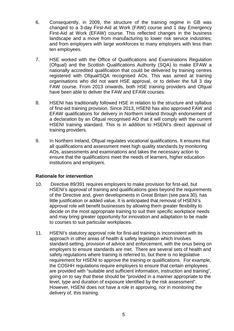- 6. Consequently, in 2009, the structure of the training regime in GB was changed to a 3-day First-Aid at Work (FAW) course and 1 day Emergency First-Aid at Work (EFAW) course. This reflected changes in the business landscape and a move from manufacturing to lower risk service industries; and from employers with large workforces to many employers with less than ten employees.
- 7. HSE worked with the Office of Qualifications and Examinations Regulation (Ofqual) and the Scottish Qualifications Authority (SQA) to make EFAW a nationally accredited qualification that could be delivered by training centres registered with Ofqual/SQA recognised AOs. This was aimed at training organisations who did not want HSE approval, or to deliver the full 3 day FAW course. From 2013 onwards, both HSE training providers and Ofqual have been able to deliver the FAW and EFAW courses.
- 8. HSENI has traditionally followed HSE in relation to the structure and syllabus of first-aid training provision. Since 2013, HSENI has also approved FAW and EFAW qualifications for delivery in Northern Ireland through endorsement of a declaration by an Ofqual recognised AO that it will comply with the current HSENI training standard. This is in addition to HSENI's direct approval of training providers.
- 9. In Northern Ireland, Ofqual regulates vocational qualifications. It ensures that all qualifications and assessment meet high quality standards by monitoring AOs, assessments and examinations and takes the necessary action to ensure that the qualifications meet the needs of learners, higher education institutions and employers.

#### **Rationale for intervention**

- 10. Directive 89/391 requires employers to make provision for first-aid, but HSENI's approval of training and qualifications goes beyond the requirements of the Directive and, given developments in Great Britain (see para 30), has little justification or added value. It is anticipated that removal of HSENI's approval role will benefit businesses by allowing them greater flexibility to decide on the most appropriate training to suit their specific workplace needs and may bring greater opportunity for innovation and adaptation to be made to courses to suit particular workplaces.
- 11. HSENI's statutory approval role for first-aid training is inconsistent with its approach in other areas of health & safety legislation which involves standard-setting, provision of advice and enforcement, with the onus being on employers to ensure standards are met. There are several sets of health and safety regulations where training is referred to, but there is no legislative requirement for HSENI to approve the training or qualifications. For example, the COSHH regulations require employers to ensure that certain employees are provided with "suitable and sufficient information, instruction and training", going on to say that these should be "provided in a manner appropriate to the level, type and duration of exposure identified by the risk assessment". However, HSENI does not have a role in approving, nor in monitoring the delivery of, this training.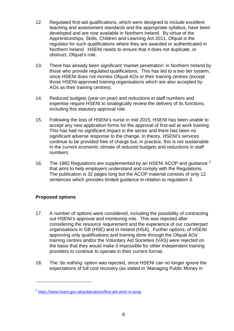- 12. Regulated first-aid qualifications, which were designed to include excellent teaching and assessment standards and the appropriate syllabus, have been developed and are now available in Northern Ireland. By virtue of the Apprenticeships, Skills, Children and Learning Act 2011, Ofqual is the regulator for such qualifications where they are awarded or authenticated in Northern Ireland. HSENI needs to ensure that it does not duplicate, or obstruct, Ofqual's role.
- 13. There has already been significant 'market penetration' in Northern Ireland by those who provide regulated qualifications. This has led to a two tier system, since HSENI does not monitor Ofqual AOs or their training centres (except those HSENI-approved training organisations which are also accepted by AOs as their training centres).
- 14. Reduced budgets (year-on-year) and reductions in staff numbers and expertise require HSENI to strategically review the delivery of its functions, including this statutory approval role.
- 15. Following the loss of HSENI's nurse in mid 2015, HSENI has been unable to accept any new application forms for the approval of first-aid at work training. This has had no significant impact in the sector and there has been no significant adverse response to the change. In theory, HSENI's services continue to be provided free of charge but, in practice, this is not sustainable in the current economic climate of reduced budgets and reductions in staff numbers.
- 16. The 198[2](#page-5-0) Regulations are supplemented by an HSENI ACOP and guidance  $^2$ that aims to help employers understand and comply with the Regulations. The publication is 32 pages long but the ACOP material consists of only 12 sentences which provides limited guidance in relation to regulation 3.

## **Proposed options**

-

- 17. A number of options were considered, including the possibility of contracting out HSENI's approval and monitoring role. This was rejected after considering the resource requirement and the experience of our counterpart organisations in GB (HSE) and in Ireland (HSA). Further options, of HSENI approving only qualifications and training done through the Ofqual AOs' training centres and/or the Voluntary Aid Societies (VAS) were rejected on the basis that they would make it impossible for other independent training providers to continue to operate in their current format.
- 18. The 'do nothing' option was rejected, since HSENI can no longer ignore the expectations of full cost recovery (as stated in 'Managing Public Money in

<span id="page-5-0"></span><sup>2</sup> <https://www.hseni.gov.uk/publications/first-aid-work-ni-acop>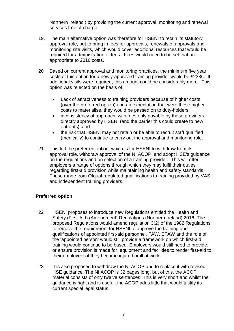Northern Ireland') by providing the current approval, monitoring and renewal services free of charge.

- 19. The main alternative option was therefore for HSENI to retain its statutory approval role, but to bring in fees for approvals, renewals of approvals and monitoring site visits, which would cover additional resources that would be required for administration of fees. Fees would need to be set that are appropriate to 2016 costs.
- 20 Based on current approval and monitoring practices, the minimum five year costs of this option for a newly-approved training provider would be £2386. If additional visits were required, this amount could be considerably more. This option was rejected on the basis of:
	- Lack of attractiveness to training providers because of higher costs (over the preferred option) and an expectation that were these higher costs to materialise, they would be passed on to duty-holders;
	- inconsistency of approach, with fees only payable by those providers directly approved by HSENI (and the barrier this could create to new entrants); and
	- the risk that HSENI may not retain or be able to recruit staff qualified (medically) to continue to carry out the approval and monitoring role.
- 21 This left the preferred option, which is for HSENI to withdraw from its approval role, withdraw approval of the NI ACOP, and adopt HSE's guidance on the regulations and on selection of a training provider. This will offer employers a range of options through which they may fulfil their duties regarding first-aid provision while maintaining health and safety standards. These range from Ofqual-regulated qualifications to training provided by VAS and independent training providers.

#### **Preferred option**

- 22 HSENI proposes to introduce new Regulations entitled the Health and Safety (First-Aid) (Amendment) Regulations (Northern Ireland) 2016. The proposed Regulations would amend regulation 3(2) of the 1982 Regulations to remove the requirement for HSENI to approve the training and qualifications of appointed first-aid personnel. FAW, EFAW and the role of the 'appointed person' would still provide a framework on which first-aid training would continue to be based. Employers would still need to provide, or ensure provision is made for, equipment and facilities to render first-aid to their employees if they became injured or ill at work.
- 23 It is also proposed to withdraw the NI ACOP and to replace it with revised HSE guidance. The NI ACOP is 32 pages long, but of this, the ACOP material consists of only twelve sentences. This is very short and whilst the guidance is right and is useful, the ACOP adds little that would justify its current special legal status.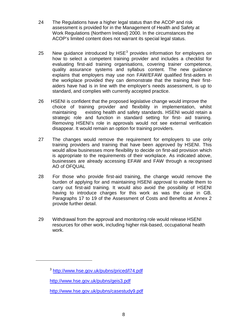- 24 The Regulations have a higher legal status than the ACOP and risk assessment is provided for in the Management of Health and Safety at Work Regulations (Northern Ireland) 2000. In the circumstances the ACOP's limited content does not warrant its special legal status.
- 25 New guidance introduced by  $HSE<sup>3</sup>$  $HSE<sup>3</sup>$  $HSE<sup>3</sup>$  provides information for employers on how to select a competent training provider and includes a checklist for evaluating first-aid training organisations, covering trainer competence, quality assurance systems and syllabus content. The new guidance explains that employers may use non FAW/EFAW qualified first-aiders in the workplace provided they can demonstrate that the training their firstaiders have had is in line with the employer's needs assessment, is up to standard, and complies with currently accepted practice.
- 26 HSENI is confident that the proposed legislative change would improve the choice of training provider and flexibility in implementation, whilst maintaining existing health and safety standards. HSENI would retain a strategic role and function in standard setting for first- aid training. Removing HSENI's role in approvals would not see external verification disappear. It would remain an option for training providers.
- 27 The changes would remove the requirement for employers to use only training providers and training that have been approved by HSENI. This would allow businesses more flexibility to decide on first-aid provision which is appropriate to the requirements of their workplace. As indicated above, businesses are already accessing EFAW and FAW through a recognised AO of OFQUAL
- 28 For those who provide first-aid training, the change would remove the burden of applying for and maintaining HSENI approval to enable them to carry out first-aid training. It would also avoid the possibility of HSENI having to introduce charges for this work as was the case in GB. Paragraphs 17 to 19 of the Assessment of Costs and Benefits at Annex 2 provide further detail.
- 29 Withdrawal from the approval and monitoring role would release HSENI resources for other work, including higher risk-based, occupational health work.

<span id="page-7-0"></span>-

<sup>3</sup> <http://www.hse.gov.uk/pubns/priced/l74.pdf>

<http://www.hse.gov.uk/pubns/geis3.pdf>

<http://www.hse.gov.uk/pubns/casestudy9.pdf>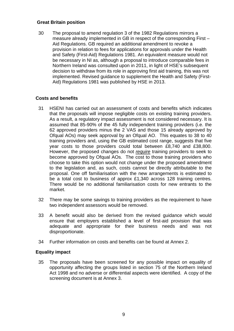#### **Great Britain position**

30 The proposal to amend regulation 3 of the 1982 Regulations mirrors a measure already implemented in GB in respect of the corresponding First – Aid Regulations. GB required an additional amendment to revoke a provision in relation to fees for applications for approvals under the Health and Safety (First-Aid) Regulations 1981. An equivalent measure would not be necessary in NI as, although a proposal to introduce comparable fees in Northern Ireland was consulted upon in 2011, in light of HSE's subsequent decision to withdraw from its role in approving first aid training, this was not implemented. Revised guidance to supplement the Health and Safety (First-Aid) Regulations 1981 was published by HSE in 2013.

#### **Costs and benefits**

- 31 HSENI has carried out an assessment of costs and benefits which indicates that the proposals will impose negligible costs on existing training providers. As a result, a regulatory impact assessment is not considered necessary. It is assumed that 85-90% of the 45 fully independent training providers (i.e. the 62 approved providers minus the 2 VAS and those 15 already approved by Ofqual AOs) may seek approval by an Ofqual AO. This equates to 38 to 40 training providers and, using the GB estimated cost range, suggests that five year costs to those providers could total between £8,740 and £38,800. However, the proposed changes do not *require* training providers to seek to become approved by Ofqual AOs. The cost to those training providers who choose to take this option would not change under the proposed amendment to the legislation and, as such, costs cannot be directly attributable to the proposal. One off familiarisation with the new arrangements is estimated to be a total cost to business of approx £1,340 across 128 training centres. There would be no additional familiarisation costs for new entrants to the market.
- 32 There may be some savings to training providers as the requirement to have two independent assessors would be removed.
- 33 A benefit would also be derived from the revised guidance which would ensure that employers established a level of first-aid provision that was adequate and appropriate for their business needs and was not disproportionate.
- 34 Further information on costs and benefits can be found at Annex 2.

#### **Equality impact**

35 The proposals have been screened for any possible impact on equality of opportunity affecting the groups listed in section 75 of the Northern Ireland Act 1998 and no adverse or differential aspects were identified. A copy of the screening document is at Annex 3.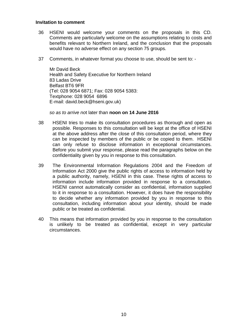#### **Invitation to comment**

- 36 HSENI would welcome your comments on the proposals in this CD. Comments are particularly welcome on the assumptions relating to costs and benefits relevant to Northern Ireland, and the conclusion that the proposals would have no adverse effect on any section 75 groups.
- 37 Comments, in whatever format you choose to use, should be sent to: -

Mr David Beck Health and Safety Executive for Northern Ireland 83 Ladas Drive Belfast BT6 9FR (Tel: 028 9054 6871; Fax: 028 9054 5383: Textphone: 028 9054 6896 E-mail: david.beck@hseni.gov.uk)

*so as to arrive no*t later than **noon on 14 June 2016**

- 38 HSENI tries to make its consultation procedures as thorough and open as possible. Responses to this consultation will be kept at the office of HSENI at the above address after the close of this consultation period, where they can be inspected by members of the public or be copied to them. HSENI can only refuse to disclose information in exceptional circumstances. Before you submit your response, please read the paragraphs below on the confidentiality given by you in response to this consultation.
- 39 The Environmental Information Regulations 2004 and the Freedom of Information Act 2000 give the public rights of access to information held by a public authority, namely, HSENI in this case. These rights of access to information include information provided in response to a consultation. HSENI cannot automatically consider as confidential, information supplied to it in response to a consultation. However, it does have the responsibility to decide whether any information provided by you in response to this consultation, including information about your identity, should be made public or be treated as confidential.
- 40 This means that information provided by you in response to the consultation is unlikely to be treated as confidential, except in very particular circumstances.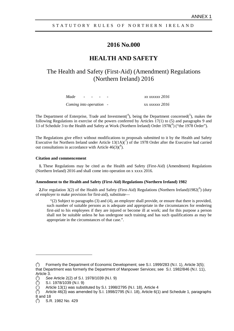#### STATUTORY RULES OF NORTHERN IRELAND

#### **2016 No.000**

#### **HEALTH AND SAFETY**

## The Health and Safety (First-Aid) (Amendment) Regulations (Northern Ireland) 2016

| Made                    | $\sim$ $\sim$ $\sim$ $\sim$ |  |  | xx xxxxxx 2016        |
|-------------------------|-----------------------------|--|--|-----------------------|
| Coming into operation - |                             |  |  | xx <i>xxxxxx</i> 2016 |

The Department of Enterprise, Trade and Investment(<sup>[4](#page-10-0)</sup>), being the Department concerned( $5$ ), makes the following Regulations in exercise of the powers conferred by Articles 17(1) to (5) and paragraphs 9 and 13 of Schedule 3 to the Health and Safety at Work (Northern Ireland) Order 1978(<sup>[6](#page-10-2)</sup>) ("the 1978 Order").

The Regulations give effect without modifications to proposals submitted to it by the Health and Safety Executive for Northern Ireland under Article  $13(1A)/7$  $13(1A)/7$  of the 1978 Order after the Executive had carried out consultations in accordance with Article  $46(3)(^8)$  $46(3)(^8)$  $46(3)(^8)$ .

#### **Citation and commencement**

**1.** These Regulations may be cited as the Health and Safety (First-Aid) (Amendment) Regulations (Northern Ireland) 2016 and shall come into operation on x xxxx 2016.

#### **Amendment to the Health and Safety (First-Aid) Regulations (Northern Ireland) 1982**

**2.** For regulation  $3(2)$  of the Health and Safety (First-Aid) Regulations (Northern Ireland)1[9](#page-10-5)82( $\degree$ ) (duty of employer to make provision for first-aid), substitute—

 $(2)$  Subject to paragraphs (3) and (4), an employer shall provide, or ensure that there is provided, such number of suitable persons as is adequate and appropriate in the circumstances for rendering first-aid to his employees if they are injured or become ill at work; and for this purpose a person shall not be suitable unless he has undergone such training and has such qualifications as may be appropriate in the circumstances of that case.".

-

<span id="page-10-0"></span><sup>(</sup> 4 ) Formerly the Department of Economic Development; see S.I. 1999/283 (N.I. 1), Article 3(5); that Department was formerly the Department of Manpower Services; see S.I. 1982/846 (N.I. 11), Article 3.

<span id="page-10-1"></span><sup>(</sup> 5 ) *See* Article 2(2) of S.I. 1978/1039 (N.I. 9)

<span id="page-10-2"></span><sup>(</sup> 6 ) S.I. 1978/1039 (N.I. 9)

<span id="page-10-3"></span><sup>(</sup> 7 ) Article 13(1) was substituted by S.I. 1998/2795 (N.I. 18), Article 4

<span id="page-10-4"></span><sup>(</sup> 8 ) Article 46(3) was amended by S.I. 1998/2795 (N.I. 18), Article 6(1) and Schedule 1, paragraphs 8 and 18

<span id="page-10-5"></span><sup>(</sup> 9 ) S.R. 1982 No. 429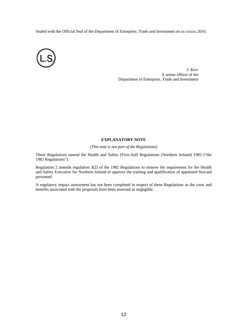Sealed with the Official Seal of the Department of Enterprise, Trade and Investment on xx xxxxx 2016.



*J. Kerr* A senior officer of the Department of Enterprise, Trade and Investment

#### **EXPLANATORY NOTE**

*(This note is not part of the Regulations)*

These Regulations amend the Health and Safety (First-Aid) Regulations (Northern Ireland) 1982 ("the 1982 Regulations").

Regulation 2 amends regulation 3(2) of the 1982 Regulations to remove the requirement for the Health and Safety Executive for Northern Ireland to approve the training and qualification of appointed first-aid personnel.

A regulatory impact assessment has not been completed in respect of these Regulations as the costs and benefits associated with the proposals have been assessed as negligible.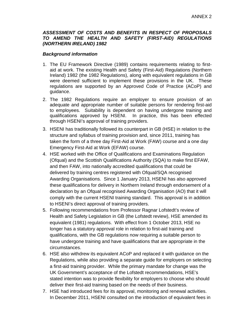#### *ASSESSMENT OF COSTS AND BENEFITS IN RESPECT OF PROPOSALS TO AMEND THE HEALTH AND SAFETY (FIRST-AID) REGULATIONS (NORTHERN IRELAND) 1982*

#### *Background information*

- 1. The EU Framework Directive (1989) contains requirements relating to firstaid at work. The existing Health and Safety (First-Aid) Regulations (Northern Ireland) 1982 (the 1982 Regulations), along with equivalent regulations in GB were deemed sufficient to implement these provisions in the UK. These regulations are supported by an Approved Code of Practice (ACoP) and guidance.
- 2. The 1982 Regulations require an employer to ensure provision of an adequate and appropriate number of suitable persons for rendering first-aid to employees. Suitability is dependent on having undergone training and qualifications approved by HSENI. In practice, this has been effected through HSENI's approval of training providers.
- 3. HSENI has traditionally followed its counterpart in GB (HSE) in relation to the structure and syllabus of training provision and, since 2011, training has taken the form of a three day First-Aid at Work (FAW) course and a one day Emergency First-Aid at Work (EFAW) course.
- 4. HSE worked with the Office of Qualifications and Examinations Regulation (Ofqual) and the Scottish Qualifications Authority (SQA) to make first EFAW, and then FAW, into nationally accredited qualifications that could be delivered by training centres registered with Ofqual/SQA recognised Awarding Organisations. Since 1 January 2013, HSENI has also approved these qualifications for delivery in Northern Ireland through endorsement of a declaration by an Ofqual recognised Awarding Organisation (AO) that it will comply with the current HSENI training standard. This approval is in addition to HSENI's direct approval of training providers.
- 5. Following recommendations from Professor Ragnar Lofstedt's review of Health and Safety Legislation in GB (the Lofstedt review), HSE amended its equivalent (1981) regulations. With effect from 1 October 2013, HSE no longer has a statutory approval role in relation to first-aid training and qualifications, with the GB regulations now requiring a suitable person to have undergone training and have qualifications that are appropriate in the circumstances.
- 6. HSE also withdrew its equivalent ACoP and replaced it with guidance on the Regulations, while also providing a separate guide for employers on selecting a first-aid training provider. While the primary mandate for change was the UK Government's acceptance of the Lofstedt recommendations, HSE's stated intention was to provide flexibility for employers to choose who should deliver their first-aid training based on the needs of their business.
- 7. HSE had introduced fees for its approval, monitoring and renewal activities. In December 2011, HSENI consulted on the introduction of equivalent fees in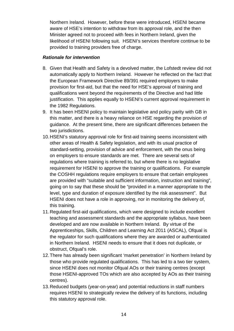Northern Ireland. However, before these were introduced, HSENI became aware of HSE's intention to withdraw from its approval role, and the then Minister agreed not to proceed with fees in Northern Ireland, given the likelihood of HSENI following suit. HSENI's services therefore continue to be provided to training providers free of charge.

#### *Rationale for intervention*

- 8. Given that Health and Safety is a devolved matter, the Lofstedt review did not automatically apply to Northern Ireland. However he reflected on the fact that the European Framework Directive 89/391 required employers to make provision for first-aid, but that the need for HSE's approval of training and qualifications went beyond the requirements of the Directive and had little justification. This applies equally to HSENI's current approval requirement in the 1982 Regulations.
- 9. It has been HSENI policy to maintain legislative and policy parity with GB in this matter, and there is a heavy reliance on HSE regarding the provision of guidance. At the present time, there are significant differences between the two jurisdictions.
- 10.HSENI's statutory approval role for first-aid training seems inconsistent with other areas of Health & Safety legislation, and with its usual practice of standard-setting, provision of advice and enforcement, with the onus being on employers to ensure standards are met. There are several sets of regulations where training is referred to, but where there is no legislative requirement for HSENI to approve the training or qualifications. For example the COSHH regulations require employers to ensure that certain employees are provided with "suitable and sufficient information, instruction and training", going on to say that these should be "provided in a manner appropriate to the level, type and duration of exposure identified by the risk assessment". But HSENI does not have a role in approving, nor in monitoring the delivery of, this training.
- 11.Regulated first-aid qualifications, which were designed to include excellent teaching and assessment standards and the appropriate syllabus, have been developed and are now available in Northern Ireland. By virtue of the Apprenticeships, Skills, Children and Learning Act 2011 (ASCAL), Ofqual is the regulator for such qualifications where they are awarded or authenticated in Northern Ireland. HSENI needs to ensure that it does not duplicate, or obstruct, Ofqual's role.
- 12.There has already been significant 'market penetration' in Northern Ireland by those who provide regulated qualifications. This has led to a two tier system, since HSENI does not monitor Ofqual AOs or their training centres (except those HSENI-approved TOs which are also accepted by AOs as their training centres).
- 13.Reduced budgets (year-on-year) and potential reductions in staff numbers requires HSENI to strategically review the delivery of its functions, including this statutory approval role.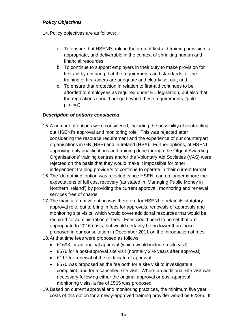#### *Policy Objectives*

14.Policy objectives are as follows:

- a. To ensure that HSENI's role in the area of first-aid training provision is appropriate, and deliverable in the context of shrinking human and financial resources.
- b. To continue to support employers in their duty to make provision for first-aid by ensuring that the requirements and standards for the training of first-aiders are adequate and clearly set out; and
- c. To ensure that protection in relation to first-aid continues to be afforded to employees as required under EU legislation, but also that the regulations should not go beyond these requirements ('goldplating').

#### *Description of options considered*

- 15.A number of options were considered, including the possibility of contracting out HSENI's approval and monitoring role. This was rejected after considering the resource requirement and the experience of our counterpart organisations in GB (HSE) and in Ireland (HSA). Further options, of HSENI approving only qualifications and training done through the Ofqual Awarding Organisations' training centres and/or the Voluntary Aid Societies (VAS) were rejected on the basis that they would make it impossible for other independent training providers to continue to operate in their current format.
- 16.The 'do nothing' option was rejected, since HSENI can no longer ignore the expectations of full cost recovery (as stated in 'Managing Public Money in Northern Ireland') by providing the current approval, monitoring and renewal services free of charge.
- 17.The main alternative option was therefore for HSENI to retain its statutory approval role, but to bring in fees for approvals, renewals of approvals and monitoring site visits, which would cover additional resources that would be required for administration of fees. Fees would need to be set that are appropriate to 2016 costs, but would certainly be no lower than those proposed in our consultation in December 2011 on the introduction of fees.
- 18.At that time fees were proposed as follows:
	- £1693 for an original approval (which would include a site visit)
	- £576 for a post-approval site visit (normally 2  $\frac{1}{2}$  years after approval)
	- £117 for renewal of the certificate of approval
	- £576 was proposed as the fee both for a site visit to investigate a complaint, and for a cancelled site visit. Where an additional site visit was necessary following either the original approval or post-approval monitoring visits, a fee of £565 was proposed.
- 19.Based on current approval and monitoring practices, the minimum five year costs of this option for a newly-approved training provider would be £2386. If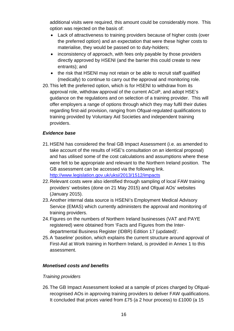additional visits were required, this amount could be considerably more. This option was rejected on the basis of:

- Lack of attractiveness to training providers because of higher costs (over the preferred option) and an expectation that were these higher costs to materialise, they would be passed on to duty-holders;
- inconsistency of approach, with fees only payable by those providers directly approved by HSENI (and the barrier this could create to new entrants); and
- the risk that HSENI may not retain or be able to recruit staff qualified (medically) to continue to carry out the approval and monitoring role.
- 20.This left the preferred option, which is for HSENI to withdraw from its approval role, withdraw approval of the current ACoP, and adopt HSE's guidance on the regulations and on selection of a training provider. This will offer employers a range of options through which they may fulfil their duties regarding first-aid provision, ranging from Ofqual-regulated qualifications to training provided by Voluntary Aid Societies and independent training providers.

#### *Evidence base*

- 21.HSENI has considered the final GB Impact Assessment (i.e. as amended to take account of the results of HSE's consultation on an identical proposal) and has utilised some of the cost calculations and assumptions where these were felt to be appropriate and relevant to the Northern Ireland position. The GB assessment can be accessed via the following link. <http://www.legislation.gov.uk/uksi/2013/1512/impacts>
- 22.Relevant costs were also identified through sampling of local FAW training providers' websites (done on 21 May 2015) and Ofqual AOs' websites (January 2015).
- 23.Another internal data source is HSENI's Employment Medical Advisory Service (EMAS) which currently administers the approval and monitoring of training providers.
- 24.Figures on the numbers of Northern Ireland businesses (VAT and PAYE registered) were obtained from 'Facts and Figures from the Interdepartmental Business Register (IDBR) Edition 17 (updated)'.
- 25.A 'baseline' position, which explains the current structure around approval of First-Aid at Work training in Northern Ireland, is provided in Annex 1 to this assessment.

#### *Monetised costs and benefits*

#### *Training providers*

26.The GB Impact Assessment looked at a sample of prices charged by Ofqualrecognised AOs in approving training providers to deliver FAW qualifications. It concluded that prices varied from £75 (a 2 hour process) to £1000 (a 15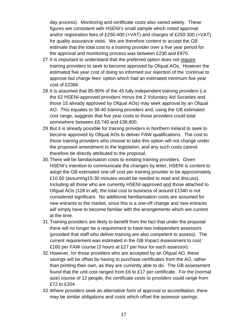day process). Monitoring and certificate costs also varied widely. These figures are consistent with HSENI's small sample which noted approval and/or registration fees of £250-400 (+VAT) and charges of £250-300 (+VAT) for quality assurance visits. We are therefore content to accept the GB estimate that the total cost to a training provider over a five year period for the approval and monitoring process was between £230 and £970.

- 27.It is important to understand that the preferred option does not require training providers to seek to become approved by Ofqual AOs. However the estimated five year cost of doing so informed our rejection of the 'continue to approve but charge fees' option which had an estimated minimum five year cost of £2386.
- 28.It is assumed that 85-90% of the 45 fully independent training providers (i.e. the 62 HSENI-approved providers minus the 2 Voluntary Aid Societies and those 15 already approved by Ofqual AOs) may seek approval by an Ofqual AO. This equates to 38-40 training providers and, using the GB estimated cost range, suggests that five year costs to those providers could total somewhere between £8,740 and £38,800.
- 29.But it is already possible for training providers in Northern Ireland to seek to become approved by Ofqual AOs to deliver FAW qualifications. The cost to those training providers who choose to take this option will not change under the proposed amendment to the legislation, and any such costs cannot therefore be directly attributed to the proposal.
- 30.There will be familiarisation costs to existing training providers. Given HSENI's intention to communicate the changes by letter, HSENI is content to adopt the GB estimated one-off cost per training provider to be approximately £10.50 (assuming15-30 minutes would be needed to read and discuss). Including all those who are currently HSENI-approved and those attached to Ofqual AOs (128 in all), the total cost to business of around £1340 is not considered significant. No additional familiarisation costs are assumed for new entrants to the market, since this is a one-off change and new entrants will simply have to become familiar with the arrangements which are current at the time.
- 31.Training providers are likely to benefit from the fact that under the proposal there will no longer be a requirement to have two independent assessors (provided that staff who deliver training are also competent to assess). The current requirement was estimated in the GB Impact Assessment to cost £160 per FAW course (3 hours at £27 per hour for each assessor).
- 32.However, for those providers who are accepted by an Ofqual AO, these savings will be offset by having to purchase certificates from the AO, rather than printing their own, as they are currently able to do. The GB assessment found that the unit cost ranged from £6 to £17 per certificate. For the (normal size) course of 12 people, the certificate costs to providers could range from £72 to £204.
- 33.Where providers seek an alternative form of approval or accreditation, there may be similar obligations and costs which offset the assessor savings.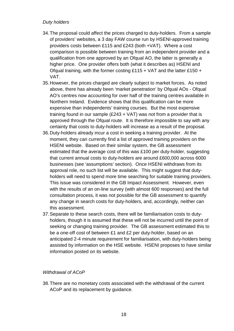#### *Duty holders*

- 34.The proposal could affect the prices charged to duty-holders. From a sample of providers' websites, a 3 day FAW course run by HSENI-approved training providers costs between £115 and £243 (both +VAT). Where a cost comparison is possible between training from an independent provider and a qualification from one approved by an Ofqual AO, the latter is generally a higher price. One provider offers both (what it describes as) HSENI and Ofqual training, with the former costing £115 + VAT and the latter £150 + VAT.
- 35.However, the prices charged are clearly subject to market forces. As noted above, there has already been 'market penetration' by Ofqual AOs - Ofqual AO's centres now accounting for over half of the training centres available in Northern Ireland. Evidence shows that this qualification can be more expensive than independents' training courses. But the most expensive training found in our sample  $(E243 + VAT)$  was not from a provider that is approved through the Ofqual route. It is therefore impossible to say with any certainty that costs to duty-holders will increase as a result of the proposal.
- 36.Duty-holders already incur a cost in seeking a training provider. At the moment, they can currently find a list of approved training providers on the HSENI website. Based on their similar system, the GB assessment estimated that the average cost of this was £100 per duty-holder, suggesting that current annual costs to duty-holders are around £600,000 across 6000 businesses (see 'assumptions' section). Once HSENI withdraws from its approval role, no such list will be available. This might suggest that dutyholders will need to spend more time searching for suitable training providers. This issue was considered in the GB Impact Assessment. However, even with the results of an on-line survey (with almost 600 responses) and the full consultation process, it was not possible for the GB assessment to quantify any change in search costs for duty-holders, and, accordingly, neither can this assessment.
- 37.Separate to these search costs, there will be familiarisation costs to dutyholders, though it is assumed that these will not be incurred until the point of seeking or changing training provider. The GB assessment estimated this to be a one-off cost of between £1 and £2 per duty-holder, based on an anticipated 2-4 minute requirement for familiarisation, with duty-holders being assisted by information on the HSE website. HSENI proposes to have similar information posted on its website.

#### *Withdrawal of ACoP*

38.There are no monetary costs associated with the withdrawal of the current ACoP and its replacement by guidance.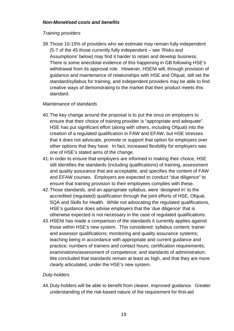#### *Non-Monetised costs and benefits*

#### *Training providers*

39.Those 10-15% of providers who we estimate may remain fully independent (5-7 of the 45 those currently fully independent – see 'Risks and Assumptions' below) may find it harder to retain and develop business. There is some anecdotal evidence of this happening in GB following HSE's withdrawal from its approval role. However, HSENI will, through provision of guidance and maintenance of relationships with HSE and Ofqual, still set the standard/syllabus for training, and independent providers may be able to find creative ways of demonstrating to the market that their product meets this standard.

## *Maintenance of standards*

- 40.The key change around the proposal is to put the onus on employers to ensure that their choice of training provider is "appropriate and adequate". HSE has put significant effort (along with others, including Ofqual) into the creation of a regulated qualification in FAW and EFAW, but HSE stresses that it does not advocate, promote or support that option for employers over other options that they have. In fact, increased flexibility for employers was one of HSE's stated aims of the change.
- 41.In order to ensure that employers are informed in making their choice, HSE still identifies the standards (including qualifications) of training, assessment and quality assurance that are acceptable, and specifies the content of FAW and EFAW courses. Employers are expected to conduct "due diligence" to ensure that training provision to their employees complies with these.
- 42.Those standards, and an appropriate syllabus, were 'designed in' to the accredited (regulated) qualification through the joint efforts of HSE, Ofqual, SQA and Skills for Health. While not advocating the regulated qualifications, HSE's guidance does advise employers that the 'due diligence' that is otherwise expected is not necessary in the case of regulated qualifications.
- 43.HSENI has made a comparison of the standards it currently applies against those within HSE's new system. This considered: syllabus content; trainer and assessor qualifications; monitoring and quality assurance systems; teaching being in accordance with appropriate and current guidance and practice; numbers of trainers and contact hours; certification requirements; examinations/assessment of competence; and standards of administration. We concluded that standards remain at least as high, and that they are more clearly articulated, under the HSE's new system.

## *Duty-holders*

44.Duty-holders will be able to benefit from clearer, improved guidance. Greater understanding of the risk-based nature of the requirement for first-aid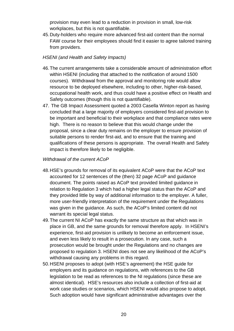provision may even lead to a reduction in provision in small, low-risk workplaces, but this is not quantifiable.

45.Duty-holders who require more advanced first-aid content than the normal FAW course for their employees should find it easier to agree tailored training from providers.

## *HSENI (and Health and Safety Impacts)*

- 46.The current arrangements take a considerable amount of administration effort within HSENI (including that attached to the notification of around 1500 courses). Withdrawal from the approval and monitoring role would allow resource to be deployed elsewhere, including to other, higher-risk-based, occupational health work, and thus could have a positive effect on Health and Safety outcomes (though this is not quantifiable).
- 47. The GB Impact Assessment quoted a 2003 Casella Winton report as having concluded that a large majority of employers considered first-aid provision to be important and beneficial to their workplace and that compliance rates were high. There is no reason to believe that this would change under the proposal, since a clear duty remains on the employer to ensure provision of suitable persons to render first-aid, and to ensure that the training and qualifications of these persons is appropriate. The overall Health and Safety impact is therefore likely to be negligible.

## *Withdrawal of the current ACoP*

- 48.HSE's grounds for removal of its equivalent ACoP were that the ACoP text accounted for 12 sentences of the (then) 32 page ACoP and guidance document. The points raised as ACoP text provided limited guidance in relation to Regulation 3 which had a higher legal status than the ACoP and they provided little by way of additional information to the employer. A fuller, more user-friendly interpretation of the requirement under the Regulations was given in the guidance. As such, the ACoP's limited content did not warrant its special legal status.
- 49.The current NI ACoP has exactly the same structure as that which was in place in GB, and the same grounds for removal therefore apply. In HSENI's experience, first-aid provision is unlikely to become an enforcement issue, and even less likely to result in a prosecution. In any case, such a prosecution would be brought under the Regulations and no changes are proposed to regulation 3. HSENI does not see any likelihood of the ACoP's withdrawal causing any problems in this regard.
- 50.HSENI proposes to adopt (with HSE's agreement) the HSE guide for employers and its guidance on regulations, with references to the GB legislation to be read as references to the NI regulations (since these are almost identical). HSE's resources also include a collection of first-aid at work case studies or scenarios, which HSENI would also propose to adopt. Such adoption would have significant administrative advantages over the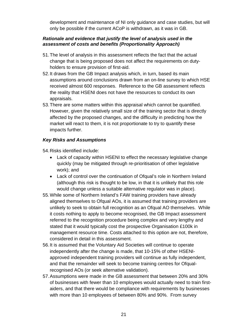development and maintenance of NI only guidance and case studies, but will only be possible if the current ACoP is withdrawn, as it was in GB.

#### *Rationale and evidence that justify the level of analysis used in the assessment of costs and benefits (Proportionality Approach)*

- 51.The level of analysis in this assessment reflects the fact that the actual change that is being proposed does not affect the requirements on dutyholders to ensure provision of first-aid.
- 52.It draws from the GB Impact analysis which, in turn, based its main assumptions around conclusions drawn from an on-line survey to which HSE received almost 600 responses. Reference to the GB assessment reflects the reality that HSENI does not have the resources to conduct its own appraisals.
- 53.There are some matters within this appraisal which cannot be quantified. However, given the relatively small size of the training sector that is directly affected by the proposed changes, and the difficulty in predicting how the market will react to them, it is not proportionate to try to quantify these impacts further.

#### *Key Risks and Assumptions*

54.Risks identified include:

- Lack of capacity within HSENI to effect the necessary legislative change quickly (may be mitigated through re-prioritisation of other legislative work); and
- Lack of control over the continuation of Ofqual's role in Northern Ireland (although this risk is thought to be low, in that it is unlikely that this role would change unless a suitable alternative regulator was in place).
- 55.While some of Northern Ireland's FAW training providers have already aligned themselves to Ofqual AOs, it is assumed that training providers are unlikely to seek to obtain full recognition as an Ofqual AO themselves. While it costs nothing to apply to become recognised, the GB Impact assessment referred to the recognition procedure being complex and very lengthy and stated that it would typically cost the prospective Organisation £100k in management resource time. Costs attached to this option are not, therefore, considered in detail in this assessment.
- 56.It is assumed that the Voluntary Aid Societies will continue to operate independently after the change is made, that 10-15% of other HSENIapproved independent training providers will continue as fully independent, and that the remainder will seek to become training centres for Ofqualrecognised AOs (or seek alternative validation).
- 57.Assumptions were made in the GB assessment that between 20% and 30% of businesses with fewer than 10 employees would actually need to train firstaiders, and that there would be compliance with requirements by businesses with more than 10 employees of between 80% and 90%. From survey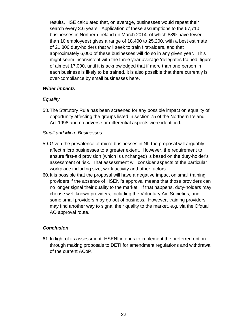results, HSE calculated that, on average, businesses would repeat their search every 3.6 years. Application of these assumptions to the 67,710 businesses in Northern Ireland (in March 2014, of which 88% have fewer than 10 employees) gives a range of 18,400 to 25,200, with a best estimate of 21,800 duty-holders that will seek to train first-aiders, and that approximately 6,000 of these businesses will do so in any given year. This might seem inconsistent with the three year average 'delegates trained' figure of almost 17,000, until it is acknowledged that if more than one person in each business is likely to be trained, it is also possible that there currently is over-compliance by small businesses here.

#### *Wider impacts*

#### *Equality*

58.The Statutory Rule has been screened for any possible impact on equality of opportunity affecting the groups listed in section 75 of the Northern Ireland Act 1998 and no adverse or differential aspects were identified.

#### *Small and Micro Businesses*

- 59.Given the prevalence of micro businesses in NI, the proposal will arguably affect micro businesses to a greater extent. However, the requirement to ensure first-aid provision (which is unchanged) is based on the duty-holder's assessment of risk. That assessment will consider aspects of the particular workplace including size, work activity and other factors.
- 60.It is possible that the proposal will have a negative impact on small training providers if the absence of HSENI's approval means that those providers can no longer signal their quality to the market. If that happens, duty-holders may choose well known providers, including the Voluntary Aid Societies, and some small providers may go out of business. However, training providers may find another way to signal their quality to the market, e.g. via the Ofqual AO approval route.

#### *Conclusion*

61.In light of its assessment, HSENI intends to implement the preferred option through making proposals to DETI for amendment regulations and withdrawal of the current ACoP.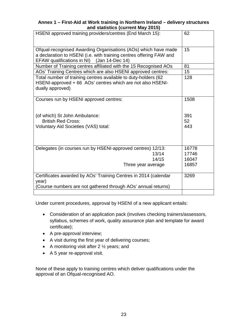#### **Annex 1 – First-Aid at Work training in Northern Ireland – delivery structures and statistics (current May 2015)**

| HSENI approved training providers/centres (End March 15):                                                                                                                           | 62    |
|-------------------------------------------------------------------------------------------------------------------------------------------------------------------------------------|-------|
| Ofqual-recognised Awarding Organisations (AOs) which have made<br>a declaration to HSENI (i.e. with training centres offering FAW and<br>EFAW qualifications in NI) (Jan 14-Dec 14) | 15    |
| Number of Training centres affiliated with the 15 Recognised AOs                                                                                                                    | 81    |
| AOs' Training Centres which are also HSENI approved centres:                                                                                                                        | 15    |
| Total number of training centres available to duty-holders (62<br>HSENI-approved + 66 AOs' centres which are not also HSENI-<br>dually approved)                                    | 128   |
| Courses run by HSENI approved centres:                                                                                                                                              | 1508  |
| (of which) St John Ambulance:                                                                                                                                                       | 391   |
| <b>British Red Cross:</b>                                                                                                                                                           | 52    |
| Voluntary Aid Societies (VAS) total:                                                                                                                                                | 443   |
| Delegates (in courses run by HSENI-approved centres) 12/13:                                                                                                                         | 16778 |
| 13/14                                                                                                                                                                               | 17746 |
| 14/15                                                                                                                                                                               | 16047 |
| Three year average                                                                                                                                                                  | 16857 |
| Certificates awarded by AOs' Training Centres in 2014 (calendar<br>year)                                                                                                            | 3269  |
| (Course numbers are not gathered through AOs' annual returns)                                                                                                                       |       |
|                                                                                                                                                                                     |       |

Under current procedures, approval by HSENI of a new applicant entails:

- Consideration of an application pack (involves checking trainers/assessors, syllabus, schemes of work, quality assurance plan and template for award certificate);
- A pre-approval interview;
- A visit during the first year of delivering courses;
- A monitoring visit after 2  $\frac{1}{2}$  years; and
- A 5 year re-approval visit.

None of these apply to training centres which deliver qualifications under the approval of an Ofqual-recognised AO.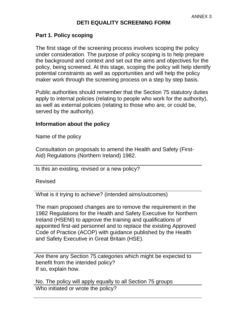## **DETI EQUALITY SCREENING FORM**

## **Part 1. Policy scoping**

The first stage of the screening process involves scoping the policy under consideration. The purpose of policy scoping is to help prepare the background and context and set out the aims and objectives for the policy, being screened. At this stage, scoping the policy will help identify potential constraints as well as opportunities and will help the policy maker work through the screening process on a step by step basis.

Public authorities should remember that the Section 75 statutory duties apply to internal policies (relating to people who work for the authority), as well as external policies (relating to those who are, or could be, served by the authority).

## **Information about the policy**

Name of the policy

Consultation on proposals to amend the Health and Safety (First-Aid) Regulations (Northern Ireland) 1982.

Is this an existing, revised or a new policy?

Revised

What is it trying to achieve? (intended aims/outcomes)

The main proposed changes are to remove the requirement in the 1982 Regulations for the Health and Safety Executive for Northern Ireland (HSENI) to approve the training and qualifications of appointed first-aid personnel and to replace the existing Approved Code of Practice (ACOP) with guidance published by the Health and Safety Executive in Great Britain (HSE).

Are there any Section 75 categories which might be expected to benefit from the intended policy? If so, explain how.

No. The policy will apply equally to all Section 75 groups Who initiated or wrote the policy?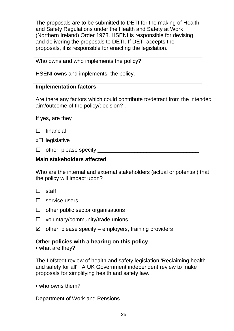The proposals are to be submitted to DETI for the making of Health and Safety Regulations under the Health and Safety at Work (Northern Ireland) Order 1978. HSENI is responsible for devising and delivering the proposals to DETI. If DETI accepts the proposals, it is responsible for enacting the legislation.

Who owns and who implements the policy?

HSENI owns and implements the policy.

#### **Implementation factors**

Are there any factors which could contribute to/detract from the intended aim/outcome of the policy/decision? .

If yes, are they

| financial |  |
|-----------|--|
|           |  |

 $x \Box$  legislative

 $\Box$  other, please specify  $\Box$ 

## **Main stakeholders affected**

Who are the internal and external stakeholders (actual or potential) that the policy will impact upon?

- $\Box$  staff
- $\Box$  service users
- $\Box$  other public sector organisations
- $\Box$  voluntary/community/trade unions
- $\boxtimes$  other, please specify employers, training providers

## **Other policies with a bearing on this policy**

• what are they?

The Löfstedt review of health and safety legislation 'Reclaiming health and safety for all'. A UK Government independent review to make proposals for simplifying health and safety law.

• who owns them?

Department of Work and Pensions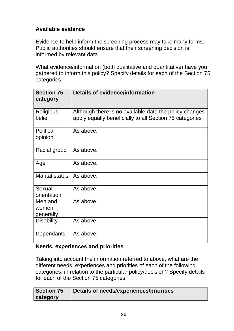# **Available evidence**

Evidence to help inform the screening process may take many forms. Public authorities should ensure that their screening decision is informed by relevant data.

What evidence/information (both qualitative and quantitative) have you gathered to inform this policy? Specify details for each of the Section 75 categories.

| <b>Section 75</b><br>category | Details of evidence/information                                                                                    |
|-------------------------------|--------------------------------------------------------------------------------------------------------------------|
| <b>Religious</b><br>belief    | Although there is no available data the policy changes<br>apply equally beneficially to all Section 75 categories. |
| <b>Political</b><br>opinion   | As above.                                                                                                          |
| Racial group                  | As above.                                                                                                          |
| Age                           | As above.                                                                                                          |
| <b>Marital status</b>         | As above.                                                                                                          |
| Sexual<br>orientation         | As above.                                                                                                          |
| Men and<br>women<br>generally | As above.                                                                                                          |
| <b>Disability</b>             | As above.                                                                                                          |
| Dependants                    | As above.                                                                                                          |

# **Needs, experiences and priorities**

Taking into account the information referred to above, what are the different needs, experiences and priorities of each of the following categories, in relation to the particular policy/decision? Specify details for each of the Section 75 categories

| Section 75 | Details of needs/experiences/priorities |
|------------|-----------------------------------------|
| category   |                                         |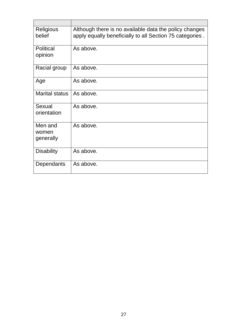| <b>Religious</b><br>belief    | Although there is no available data the policy changes<br>apply equally beneficially to all Section 75 categories. |
|-------------------------------|--------------------------------------------------------------------------------------------------------------------|
| <b>Political</b><br>opinion   | As above.                                                                                                          |
| Racial group                  | As above.                                                                                                          |
| Age                           | As above.                                                                                                          |
| <b>Marital status</b>         | As above.                                                                                                          |
| Sexual<br>orientation         | As above.                                                                                                          |
| Men and<br>women<br>generally | As above.                                                                                                          |
| <b>Disability</b>             | As above.                                                                                                          |
| Dependants                    | As above.                                                                                                          |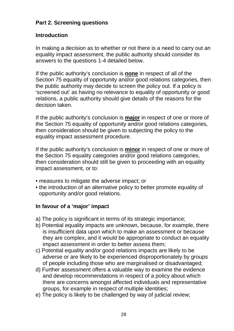## **Part 2. Screening questions**

## **Introduction**

In making a decision as to whether or not there is a need to carry out an equality impact assessment, the public authority should consider its answers to the questions 1-4 detailed below.

If the public authority's conclusion is **none** in respect of all of the Section 75 equality of opportunity and/or good relations categories, then the public authority may decide to screen the policy out. If a policy is 'screened out' as having no relevance to equality of opportunity or good relations, a public authority should give details of the reasons for the decision taken.

If the public authority's conclusion is **major** in respect of one or more of the Section 75 equality of opportunity and/or good relations categories, then consideration should be given to subjecting the policy to the equality impact assessment procedure.

If the public authority's conclusion is **minor** in respect of one or more of the Section 75 equality categories and/or good relations categories, then consideration should still be given to proceeding with an equality impact assessment, or to:

- measures to mitigate the adverse impact; or
- the introduction of an alternative policy to better promote equality of opportunity and/or good relations.

## **In favour of a 'major' impact**

- a) The policy is significant in terms of its strategic importance;
- b) Potential equality impacts are unknown, because, for example, there is insufficient data upon which to make an assessment or because they are complex, and it would be appropriate to conduct an equality impact assessment in order to better assess them;
- c) Potential equality and/or good relations impacts are likely to be adverse or are likely to be experienced disproportionately by groups of people including those who are marginalised or disadvantaged;
- d) Further assessment offers a valuable way to examine the evidence and develop recommendations in respect of a policy about which there are concerns amongst affected individuals and representative groups, for example in respect of multiple identities;
- e) The policy is likely to be challenged by way of judicial review;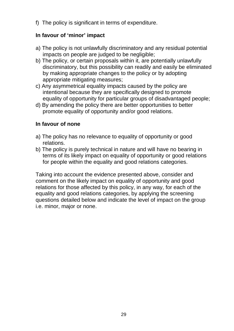f) The policy is significant in terms of expenditure.

## **In favour of 'minor' impact**

- a) The policy is not unlawfully discriminatory and any residual potential impacts on people are judged to be negligible;
- b) The policy, or certain proposals within it, are potentially unlawfully discriminatory, but this possibility can readily and easily be eliminated by making appropriate changes to the policy or by adopting appropriate mitigating measures;
- c) Any asymmetrical equality impacts caused by the policy are intentional because they are specifically designed to promote equality of opportunity for particular groups of disadvantaged people;
- d) By amending the policy there are better opportunities to better promote equality of opportunity and/or good relations.

## **In favour of none**

- a) The policy has no relevance to equality of opportunity or good relations.
- b) The policy is purely technical in nature and will have no bearing in terms of its likely impact on equality of opportunity or good relations for people within the equality and good relations categories.

Taking into account the evidence presented above, consider and comment on the likely impact on equality of opportunity and good relations for those affected by this policy, in any way, for each of the equality and good relations categories, by applying the screening questions detailed below and indicate the level of impact on the group i.e. minor, major or none.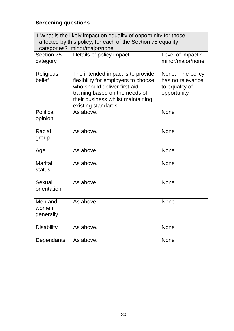# **Screening questions**

| 1 What is the likely impact on equality of opportunity for those<br>affected by this policy, for each of the Section 75 equality<br>categories? minor/major/none |                                                                                                                                                                                                       |                                                                       |  |  |
|------------------------------------------------------------------------------------------------------------------------------------------------------------------|-------------------------------------------------------------------------------------------------------------------------------------------------------------------------------------------------------|-----------------------------------------------------------------------|--|--|
| Section 75<br>category                                                                                                                                           | Details of policy impact                                                                                                                                                                              | Level of impact?<br>minor/major/none                                  |  |  |
| <b>Religious</b><br>belief                                                                                                                                       | The intended impact is to provide<br>flexibility for employers to choose<br>who should deliver first-aid<br>training based on the needs of<br>their business whilst maintaining<br>existing standards | None. The policy<br>has no relevance<br>to equality of<br>opportunity |  |  |
| <b>Political</b><br>opinion                                                                                                                                      | As above.                                                                                                                                                                                             | <b>None</b>                                                           |  |  |
| Racial<br>group                                                                                                                                                  | As above.                                                                                                                                                                                             | <b>None</b>                                                           |  |  |
| Age                                                                                                                                                              | As above.                                                                                                                                                                                             | <b>None</b>                                                           |  |  |
| <b>Marital</b><br>status                                                                                                                                         | As above.                                                                                                                                                                                             | <b>None</b>                                                           |  |  |
| Sexual<br>orientation                                                                                                                                            | As above.                                                                                                                                                                                             | <b>None</b>                                                           |  |  |
| Men and<br>women<br>generally                                                                                                                                    | As above.                                                                                                                                                                                             | <b>None</b>                                                           |  |  |
| <b>Disability</b>                                                                                                                                                | As above.                                                                                                                                                                                             | <b>None</b>                                                           |  |  |
| Dependants                                                                                                                                                       | As above.                                                                                                                                                                                             | <b>None</b>                                                           |  |  |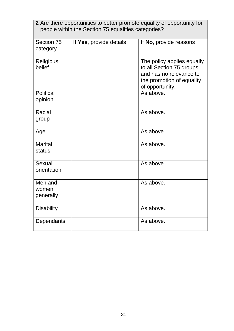| <b>2</b> Are there opportunities to better promote equality of opportunity for<br>people within the Section 75 equalities categories? |                         |                                                                                                                                   |  |  |
|---------------------------------------------------------------------------------------------------------------------------------------|-------------------------|-----------------------------------------------------------------------------------------------------------------------------------|--|--|
| Section 75<br>category                                                                                                                | If Yes, provide details | If No, provide reasons                                                                                                            |  |  |
| <b>Religious</b><br>belief                                                                                                            |                         | The policy applies equally<br>to all Section 75 groups<br>and has no relevance to<br>the promotion of equality<br>of opportunity. |  |  |
| <b>Political</b><br>opinion                                                                                                           |                         | As above.                                                                                                                         |  |  |
| Racial<br>group                                                                                                                       |                         | As above.                                                                                                                         |  |  |
| Age                                                                                                                                   |                         | As above.                                                                                                                         |  |  |
| <b>Marital</b><br>status                                                                                                              |                         | As above.                                                                                                                         |  |  |
| Sexual<br>orientation                                                                                                                 |                         | As above.                                                                                                                         |  |  |
| Men and<br>women<br>generally                                                                                                         |                         | As above.                                                                                                                         |  |  |
| <b>Disability</b>                                                                                                                     |                         | As above.                                                                                                                         |  |  |
| Dependants                                                                                                                            |                         | As above.                                                                                                                         |  |  |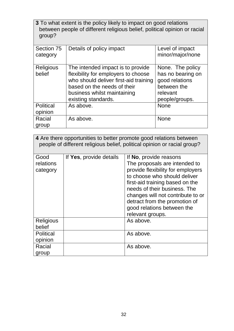| 3 To what extent is the policy likely to impact on good relations         |
|---------------------------------------------------------------------------|
| between people of different religious belief, political opinion or racial |
| group?                                                                    |

| Section 75<br>category      | Details of policy impact                                                                                                                                                                               | Level of impact<br>minor/major/none                                                                  |
|-----------------------------|--------------------------------------------------------------------------------------------------------------------------------------------------------------------------------------------------------|------------------------------------------------------------------------------------------------------|
| <b>Religious</b><br>belief  | The intended impact is to provide<br>flexibility for employers to choose<br>who should deliver first-aid training<br>based on the needs of their<br>business whilst maintaining<br>existing standards. | None. The policy<br>has no bearing on<br>good relations<br>between the<br>relevant<br>people/groups. |
| <b>Political</b><br>opinion | As above.                                                                                                                                                                                              | <b>None</b>                                                                                          |
| Racial<br>group             | As above.                                                                                                                                                                                              | <b>None</b>                                                                                          |

| 4 Are there opportunities to better promote good relations between<br>people of different religious belief, political opinion or racial group? |                         |                                                                                                                                                                                                                                                                                                                         |  |
|------------------------------------------------------------------------------------------------------------------------------------------------|-------------------------|-------------------------------------------------------------------------------------------------------------------------------------------------------------------------------------------------------------------------------------------------------------------------------------------------------------------------|--|
| Good<br>relations<br>category                                                                                                                  | If Yes, provide details | If No, provide reasons<br>The proposals are intended to<br>provide flexibility for employers<br>to choose who should deliver<br>first-aid training based on the<br>needs of their business. The<br>changes will not contribute to or<br>detract from the promotion of<br>good relations between the<br>relevant groups. |  |
| <b>Religious</b><br>belief                                                                                                                     |                         | As above.                                                                                                                                                                                                                                                                                                               |  |
| <b>Political</b><br>opinion                                                                                                                    |                         | As above.                                                                                                                                                                                                                                                                                                               |  |
| Racial<br>group                                                                                                                                |                         | As above.                                                                                                                                                                                                                                                                                                               |  |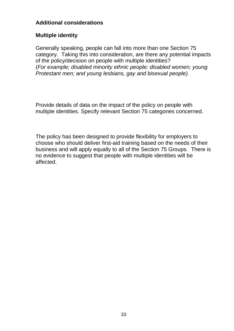## **Additional considerations**

## **Multiple identity**

Generally speaking, people can fall into more than one Section 75 category. Taking this into consideration, are there any potential impacts of the policy/decision on people with multiple identities? (*For example; disabled minority ethnic people; disabled women; young Protestant men; and young lesbians, gay and bisexual people).*

Provide details of data on the impact of the policy on people with multiple identities. Specify relevant Section 75 categories concerned.

The policy has been designed to provide flexibility for employers to choose who should deliver first-aid training based on the needs of their business and will apply equally to all of the Section 75 Groups. There is no evidence to suggest that people with multiple identities will be affected.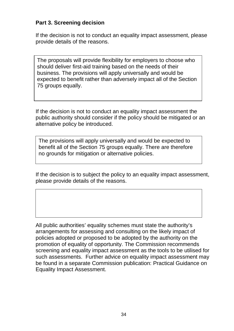## **Part 3. Screening decision**

If the decision is not to conduct an equality impact assessment, please provide details of the reasons.

The proposals will provide flexibility for employers to choose who should deliver first-aid training based on the needs of their business. The provisions will apply universally and would be expected to benefit rather than adversely impact all of the Section 75 groups equally.

If the decision is not to conduct an equality impact assessment the public authority should consider if the policy should be mitigated or an alternative policy be introduced.

The provisions will apply universally and would be expected to benefit all of the Section 75 groups equally. There are therefore no grounds for mitigation or alternative policies.

If the decision is to subject the policy to an equality impact assessment, please provide details of the reasons.

All public authorities' equality schemes must state the authority's arrangements for assessing and consulting on the likely impact of policies adopted or proposed to be adopted by the authority on the promotion of equality of opportunity. The Commission recommends screening and equality impact assessment as the tools to be utilised for such assessments. Further advice on equality impact assessment may be found in a separate Commission publication: Practical Guidance on Equality Impact Assessment.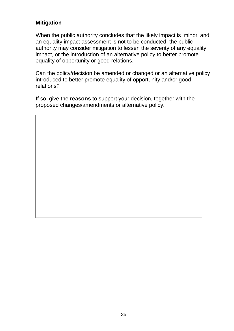## **Mitigation**

When the public authority concludes that the likely impact is 'minor' and an equality impact assessment is not to be conducted, the public authority may consider mitigation to lessen the severity of any equality impact, or the introduction of an alternative policy to better promote equality of opportunity or good relations.

Can the policy/decision be amended or changed or an alternative policy introduced to better promote equality of opportunity and/or good relations?

If so, give the **reasons** to support your decision, together with the proposed changes/amendments or alternative policy.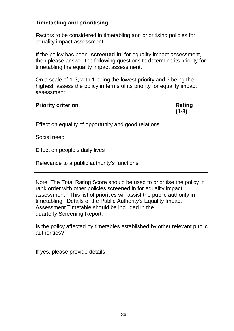## **Timetabling and prioritising**

Factors to be considered in timetabling and prioritising policies for equality impact assessment.

If the policy has been **'screened in'** for equality impact assessment, then please answer the following questions to determine its priority for timetabling the equality impact assessment.

On a scale of 1-3, with 1 being the lowest priority and 3 being the highest, assess the policy in terms of its priority for equality impact assessment.

| <b>Priority criterion</b>                            | Rating<br>$(1-3)$ |
|------------------------------------------------------|-------------------|
| Effect on equality of opportunity and good relations |                   |
| Social need                                          |                   |
| Effect on people's daily lives                       |                   |
| Relevance to a public authority's functions          |                   |

Note: The Total Rating Score should be used to prioritise the policy in rank order with other policies screened in for equality impact assessment. This list of priorities will assist the public authority in timetabling. Details of the Public Authority's Equality Impact Assessment Timetable should be included in the quarterly Screening Report.

Is the policy affected by timetables established by other relevant public authorities?

If yes, please provide details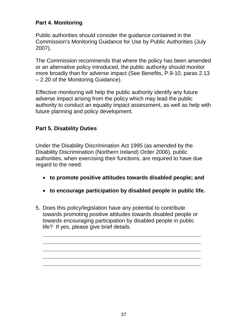## **Part 4. Monitoring**

Public authorities should consider the guidance contained in the Commission's Monitoring Guidance for Use by Public Authorities (July 2007).

The Commission recommends that where the policy has been amended or an alternative policy introduced, the public authority should monitor more broadly than for adverse impact (See Benefits, P.9-10, paras 2.13 – 2.20 of the Monitoring Guidance).

Effective monitoring will help the public authority identify any future adverse impact arising from the policy which may lead the public authority to conduct an equality impact assessment, as well as help with future planning and policy development.

# **Part 5. Disability Duties**

Under the Disability Discrimination Act 1995 (as amended by the Disability Discrimination (Northern Ireland) Order 2006), public authorities, when exercising their functions, are required to have due regard to the need:

- **to promote positive attitudes towards disabled people; and**
- **to encourage participation by disabled people in public life.**
- 5. Does this policy/legislation have any potential to contribute towards promoting positive attitudes towards disabled people or towards encouraging participation by disabled people in public life? If yes, please give brief details.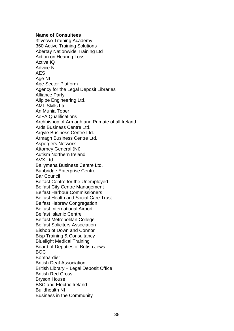#### **Name of Consultees**

3fivetwo Training Academy 360 Active Training Solutions Abertay Nationwide Training Ltd Action on Hearing Loss Active IQ Advice NI AES Age NI Age Sector Platform Agency for the Legal Deposit Libraries Alliance Party Allpipe Engineering Ltd. AML Skills Ltd An Munia Tober AoFA Qualifications Archbishop of Armagh and Primate of all Ireland Ards Business Centre Ltd. Argyle Business Centre Ltd. Armagh Business Centre Ltd. Aspergers Network Attorney General (NI) Autism Northern Ireland AVX Ltd Ballymena Business Centre Ltd. Banbridge Enterprise Centre Bar Council Belfast Centre for the Unemployed Belfast City Centre Management Belfast Harbour Commissioners Belfast Health and Social Care Trust Belfast Hebrew Congregation Belfast International Airport Belfast Islamic Centre Belfast Metropolitan College Belfast Solicitors Association Bishop of Down and Connor Bisp Training & Consultancy Bluelight Medical Training Board of Deputies of British Jews BOC Bombardier British Deaf Association British Library – Legal Deposit Office British Red Cross Bryson House BSC and Electric Ireland Buildhealth NI Business in the Community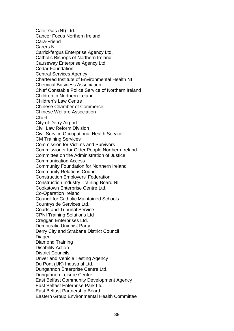Calor Gas (NI) Ltd. Cancer Focus Northern Ireland Cara-Friend Carers NI Carrickfergus Enterprise Agency Ltd. Catholic Bishops of Northern Ireland Causeway Enterprise Agency Ltd. Cedar Foundation Central Services Agency Chartered Institute of Environmental Health NI Chemical Business Association Chief Constable Police Service of Northern Ireland Children in Northern Ireland Children's Law Centre Chinese Chamber of Commerce Chinese Welfare Association CIEH City of Derry Airport Civil Law Reform Division Civil Service Occupational Health Service CM Training Services Commission for Victims and Survivors Commissioner for Older People Northern Ireland Committee on the Administration of Justice Communication Access Community Foundation for Northern Ireland Community Relations Council Construction Employers' Federation Construction Industry Training Board NI Cookstown Enterprise Centre Ltd. Co-Operation Ireland Council for Catholic Maintained Schools Countryside Services Ltd. Courts and Tribunal Service CPNI Training Solutions Ltd Creggan Enterprises Ltd. Democratic Unionist Party Derry City and Strabane District Council Diageo Diamond Training Disability Action District Councils Driver and Vehicle Testing Agency Du Pont (UK) Industrial Ltd. Dungannon Enterprise Centre Ltd. Dungannon Leisure Centre East Belfast Community Development Agency East Belfast Enterprise Park Ltd. East Belfast Partnership Board Eastern Group Environmental Health Committee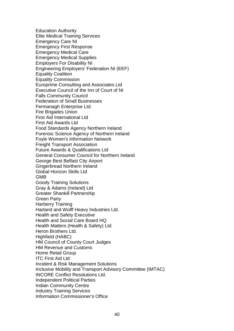Education Authority Elite Medical Training Services Emergency Care NI Emergency First Response Emergency Medical Care Emergency Medical Supplies Employers For Disability NI Engineering Employers' Federation NI (EEF) Equality Coalition Equality Commission Europrime Consulting and Associates Ltd Executive Council of the Inn of Court of NI Falls Community Council Federation of Small Businesses Fermanagh Enterprise Ltd. Fire Brigades Union First Aid International Ltd First Aid Awards Ltd Food Standards Agency Northern Ireland Forensic Science Agency of Northern Ireland Foyle Women's Information Network Freight Transport Association Future Awards & Qualifications Ltd General Consumer Council for Northern Ireland George Best Belfast City Airport Gingerbread Northern Ireland Global Horizon Skills Ltd GMB Goody Training Solutions Gray & Adams (Ireland) Ltd Greater Shankill Partnership Green Party Harberry Training Harland and Wolff Heavy Industries Ltd. Health and Safety Executive Health and Social Care Board HQ Health Matters (Health & Safety) Ltd Heron Brothers Ltd. Highfield (HABC) HM Council of County Court Judges HM Revenue and Customs Home Retail Group ITC First Aid Ltd Incident & Risk Management Solutions Inclusive Mobility and Transport Advisory Committee (IMTAC) INCORE Conflict Resolutions Ltd. Independent Political Parties Indian Community Centre Industry Training Services Information Commissioner's Office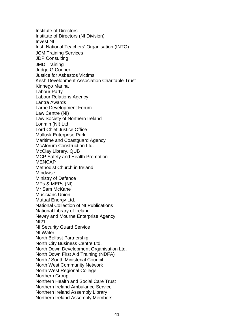Institute of Directors Institute of Directors (NI Division) Invest NI Irish National Teachers' Organisation (INTO) JCM Training Services JDP Consulting JMD Training Judge G Conner Justice for Asbestos Victims Kesh Development Association Charitable Trust Kinnego Marina Labour Party Labour Relations Agency Lantra Awards Larne Development Forum Law Centre (NI) Law Society of Northern Ireland Lonmin (NI) Ltd Lord Chief Justice Office Mallusk Enterprise Park Maritime and Coastguard Agency McAlorum Construction Ltd. McClay Library, QUB MCP Safety and Health Promotion **MENCAP** Methodist Church in Ireland Mindwise Ministry of Defence MPs & MEPs (NI) Mr Sam McKane Musicians Union Mutual Energy Ltd. National Collection of NI Publications National Library of Ireland Newry and Mourne Enterprise Agency NI21 NI Security Guard Service NI Water North Belfast Partnership North City Business Centre Ltd. North Down Development Organisation Ltd. North Down First Aid Training (NDFA) North / South Ministerial Council North West Community Network North West Regional College Northern Group Northern Health and Social Care Trust Northern Ireland Ambulance Service Northern Ireland Assembly Library Northern Ireland Assembly Members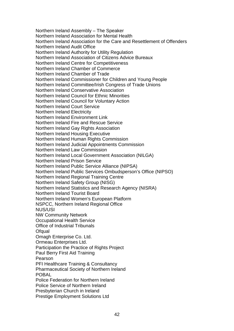Northern Ireland Assembly – The Speaker Northern Ireland Association for Mental Health Northern Ireland Association for the Care and Resettlement of Offenders Northern Ireland Audit Office Northern Ireland Authority for Utility Regulation Northern Ireland Association of Citizens Advice Bureaux Northern Ireland Centre for Competitiveness Northern Ireland Chamber of Commerce Northern Ireland Chamber of Trade Northern Ireland Commissioner for Children and Young People Northern Ireland Committee/Irish Congress of Trade Unions Northern Ireland Conservative Association Northern Ireland Council for Ethnic Minorities Northern Ireland Council for Voluntary Action Northern Ireland Court Service Northern Ireland Electricity Northern Ireland Environment Link Northern Ireland Fire and Rescue Service Northern Ireland Gay Rights Association Northern Ireland Housing Executive Northern Ireland Human Rights Commission Northern Ireland Judicial Appointments Commission Northern Ireland Law Commission Northern Ireland Local Government Association (NILGA) Northern Ireland Prison Service Northern Ireland Public Service Alliance (NIPSA) Northern Ireland Public Services Ombudsperson's Office (NIPSO) Northern Ireland Regional Training Centre Northern Ireland Safety Group (NISG) Northern Ireland Statistics and Research Agency (NISRA) Northern Ireland Tourist Board Northern Ireland Women's European Platform NSPCC, Northern Ireland Regional Office NUS/USI NW Community Network Occupational Health Service Office of Industrial Tribunals **Ofqual** Omagh Enterprise Co. Ltd. Ormeau Enterprises Ltd. Participation the Practice of Rights Project Paul Berry First Aid Training Pearson PFI Healthcare Training & Consultancy Pharmaceutical Society of Northern Ireland POBAL Police Federation for Northern Ireland Police Service of Northern Ireland Presbyterian Church in Ireland Prestige Employment Solutions Ltd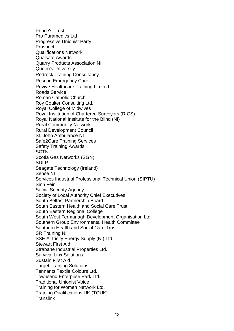Prince's Trust Pro Paramedics Ltd Progressive Unionist Party Prospect Qualifications Network Qualsafe Awards Quarry Products Association NI Queen's University Redrock Training Consultancy Rescue Emergency Care Revive Healthcare Training Limited Roads Service Roman Catholic Church Roy Coulter Consulting Ltd. Royal College of Midwives Royal Institution of Chartered Surveyors (RICS) Royal National Institute for the Blind (NI) Rural Community Network Rural Development Council St. John Ambulance NI Safe2Care Training Services Safety Training Awards **SCTNI** Scotia Gas Networks (SGN) SDLP Seagate Technology (Ireland) Sense NI Services Industrial Professional Technical Union (SIPTU) Sinn Fein Social Security Agency Society of Local Authority Chief Executives South Belfast Partnership Board South Eastern Health and Social Care Trust South Eastern Regional College South West Fermanagh Development Organisation Ltd. Southern Group Environmental Health Committee Southern Health and Social Care Trust SR Training NI SSE Airtricity Energy Supply (NI) Ltd Stewart First Aid Strabane Industrial Properties Ltd. Survival Linx Solutions Sustain First Aid Target Training Solutions Tennants Textile Colours Ltd. Townsend Enterprise Park Ltd. Traditional Unionist Voice Training for Women Network Ltd. Training Qualifications UK (TQUK) **Translink**